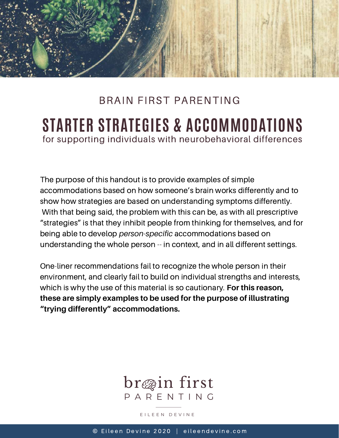

# **STARTER STRATEGIES & ACCOMMODATIONS** BRAIN FIRST PARENTING for supporting individuals with neurobehavioral differences

The purpose of this handout is to provide examples of simple accommodations based on how someone's brain works differently and to show how strategies are based on understanding symptoms differently. With that being said, the problem with this can be, as with all prescriptive "strategies" is that they inhibit people from thinking for themselves, and for being able to develop *person-specific* accommodations based on understanding the whole person -- in context, and in all different settings.

One-liner recommendations fail to recognize the whole person in their environment, and clearly fail to build on individual strengths and interests, which is why the use of this material is so cautionary. **For this reason, these are simply examples to be used for the purpose of illustrating "trying differently" accommodations.**



E I L E E N D E V I N E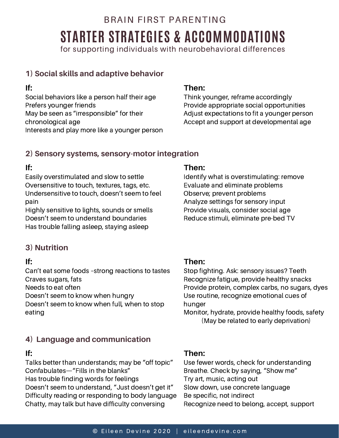# BRAIN FIRST PARENTING **STARTER STRATEGIES & ACCOMMODATIONS**

for supporting individuals with neurobehavioral differences

# **1) Social skills and adaptive behavior**

### **If:**

Social behaviors like a person half their age Prefers younger friends May be seen as "irresponsible" for their chronological age Interests and play more like a younger person

### **Then:**

Think younger, reframe accordingly Provide appropriate social opportunities Adjust expectations to fit a younger person Accept and support at developmental age

### **2) Sensory systems, sensory-motor integration**

# **If:**

Easily overstimulated and slow to settle Oversensitive to touch, textures, tags, etc. Undersensitive to touch, doesn't seem to feel pain

Highly sensitive to lights, sounds or smells Doesn't seem to understand boundaries Has trouble falling asleep, staying asleep

# **3) Nutrition**

# **If:**

Can't eat some foods –strong reactions to tastes Craves sugars, fats

Needs to eat often

Doesn't seem to know when hungry

Doesn't seem to know when full, when to stop eating

# **4) Language and communication**

## **If:**

Talks better than understands; may be "off topic" Confabulates—"Fills in the blanks" Has trouble finding words for feelings Doesn't seem to understand, "Just doesn't get it" Difficulty reading or responding to body language Chatty, may talk but have difficulty conversing

### **Then:**

Identify what is overstimulating: remove Evaluate and eliminate problems Observe; prevent problems Analyze settings for sensory input Provide visuals, consider social age Reduce stimuli, eliminate pre-bed TV

### **Then:**

Stop fighting. Ask: sensory issues? Teeth Recognize fatigue, provide healthy snacks Provide protein, complex carbs, no sugars, dyes Use routine, recognize emotional cues of hunger

Monitor, hydrate, provide healthy foods, safety (May be related to early deprivation)

### **Then:**

Use fewer words, check for understanding Breathe. Check by saying, "Show me" Try art, music, acting out Slow down, use concrete language Be specific, not indirect Recognize need to belong, accept, support